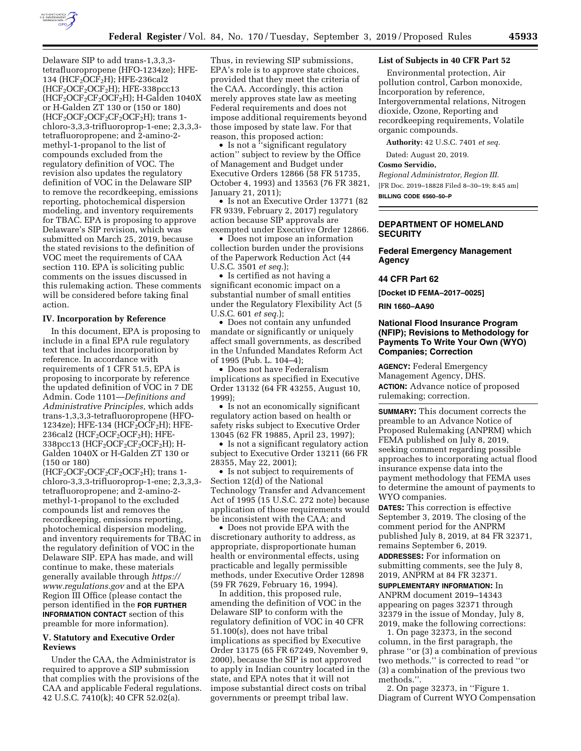

Delaware SIP to add trans-1,3,3,3 tetrafluoropropene (HFO-1234ze); HFE-134 (HCF<sub>2</sub>OCF<sub>2</sub>H); HFE-236cal2  $(HCF<sub>2</sub>OCF<sub>2</sub>OCF<sub>2</sub>H); HFE-338pcc13$  $(HCF<sub>2</sub>OCF<sub>2</sub>CF<sub>2</sub>OCF<sub>2</sub>H); H-Ga\),$ or H-Galden ZT 130 or (150 or 180)  $(HCF<sub>2</sub>OCF<sub>2</sub>OCF<sub>2</sub>CF<sub>2</sub>OCF<sub>2</sub>H);$  trans 1chloro-3,3,3-trifluoroprop-1-ene; 2,3,3,3 tetrafluoropropene; and 2-amino-2 methyl-1-propanol to the list of compounds excluded from the regulatory definition of VOC. The revision also updates the regulatory definition of VOC in the Delaware SIP to remove the recordkeeping, emissions reporting, photochemical dispersion modeling, and inventory requirements for TBAC. EPA is proposing to approve Delaware's SIP revision, which was submitted on March 25, 2019, because the stated revisions to the definition of VOC meet the requirements of CAA section 110. EPA is soliciting public comments on the issues discussed in this rulemaking action. These comments will be considered before taking final action.

### **IV. Incorporation by Reference**

In this document, EPA is proposing to include in a final EPA rule regulatory text that includes incorporation by reference. In accordance with requirements of 1 CFR 51.5, EPA is proposing to incorporate by reference the updated definition of VOC in 7 DE Admin. Code 1101—*Definitions and Administrative Principles,* which adds trans-1,3,3,3-tetrafluoropropene (HFO-1234ze); HFE-134 (HCF<sub>2</sub>OCF<sub>2</sub>H); HFE-236cal2 ( $HCF<sub>2</sub>OCF<sub>2</sub>OCF<sub>2</sub>H$ ); HFE-338pcc13 (HCF<sub>2</sub>OCF<sub>2</sub>CF<sub>2</sub>OCF<sub>2</sub>H); H-Galden 1040X or H-Galden ZT 130 or (150 or 180)

 $(HCF<sub>2</sub>OCF<sub>2</sub>OCF<sub>2</sub>CF<sub>2</sub>OCF<sub>2</sub>H); trans 1$ chloro-3,3,3-trifluoroprop-1-ene; 2,3,3,3 tetrafluoropropene; and 2-amino-2 methyl-1-propanol to the excluded compounds list and removes the recordkeeping, emissions reporting, photochemical dispersion modeling, and inventory requirements for TBAC in the regulatory definition of VOC in the Delaware SIP. EPA has made, and will continue to make, these materials generally available through *[https://](https://www.regulations.gov) [www.regulations.gov](https://www.regulations.gov)* and at the EPA Region III Office (please contact the person identified in the **FOR FURTHER INFORMATION CONTACT** section of this preamble for more information).

### **V. Statutory and Executive Order Reviews**

Under the CAA, the Administrator is required to approve a SIP submission that complies with the provisions of the CAA and applicable Federal regulations. 42 U.S.C. 7410(k); 40 CFR 52.02(a).

Thus, in reviewing SIP submissions, EPA's role is to approve state choices, provided that they meet the criteria of the CAA. Accordingly, this action merely approves state law as meeting Federal requirements and does not impose additional requirements beyond those imposed by state law. For that reason, this proposed action:

• Is not a "significant regulatory action'' subject to review by the Office of Management and Budget under Executive Orders 12866 (58 FR 51735, October 4, 1993) and 13563 (76 FR 3821, January 21, 2011);

• Is not an Executive Order 13771 (82 FR 9339, February 2, 2017) regulatory action because SIP approvals are exempted under Executive Order 12866.

• Does not impose an information collection burden under the provisions of the Paperwork Reduction Act (44 U.S.C. 3501 *et seq.*);

• Is certified as not having a significant economic impact on a substantial number of small entities under the Regulatory Flexibility Act (5 U.S.C. 601 *et seq.*);

• Does not contain any unfunded mandate or significantly or uniquely affect small governments, as described in the Unfunded Mandates Reform Act of 1995 (Pub. L. 104–4);

• Does not have Federalism implications as specified in Executive Order 13132 (64 FR 43255, August 10, 1999);

• Is not an economically significant regulatory action based on health or safety risks subject to Executive Order 13045 (62 FR 19885, April 23, 1997);

• Is not a significant regulatory action subject to Executive Order 13211 (66 FR 28355, May 22, 2001);

• Is not subject to requirements of Section 12(d) of the National Technology Transfer and Advancement Act of 1995 (15 U.S.C. 272 note) because application of those requirements would be inconsistent with the CAA; and

• Does not provide EPA with the discretionary authority to address, as appropriate, disproportionate human health or environmental effects, using practicable and legally permissible methods, under Executive Order 12898 (59 FR 7629, February 16, 1994).

In addition, this proposed rule, amending the definition of VOC in the Delaware SIP to conform with the regulatory definition of VOC in 40 CFR 51.100(s), does not have tribal implications as specified by Executive Order 13175 (65 FR 67249, November 9, 2000), because the SIP is not approved to apply in Indian country located in the state, and EPA notes that it will not impose substantial direct costs on tribal governments or preempt tribal law.

# **List of Subjects in 40 CFR Part 52**

Environmental protection, Air pollution control, Carbon monoxide, Incorporation by reference, Intergovernmental relations, Nitrogen dioxide, Ozone, Reporting and recordkeeping requirements, Volatile organic compounds.

**Authority:** 42 U.S.C. 7401 *et seq.* 

Dated: August 20, 2019.

### **Cosmo Servidio,**

*Regional Administrator, Region III.*  [FR Doc. 2019–18828 Filed 8–30–19; 8:45 am] **BILLING CODE 6560–50–P** 

# **DEPARTMENT OF HOMELAND SECURITY**

### **Federal Emergency Management Agency**

#### **44 CFR Part 62**

**[Docket ID FEMA–2017–0025]** 

**RIN 1660–AA90** 

## **National Flood Insurance Program (NFIP); Revisions to Methodology for Payments To Write Your Own (WYO) Companies; Correction**

**AGENCY:** Federal Emergency Management Agency, DHS. **ACTION:** Advance notice of proposed rulemaking; correction.

**SUMMARY:** This document corrects the preamble to an Advance Notice of Proposed Rulemaking (ANPRM) which FEMA published on July 8, 2019, seeking comment regarding possible approaches to incorporating actual flood insurance expense data into the payment methodology that FEMA uses to determine the amount of payments to WYO companies.

**DATES:** This correction is effective September 3, 2019. The closing of the comment period for the ANPRM published July 8, 2019, at 84 FR 32371, remains September 6, 2019.

**ADDRESSES:** For information on submitting comments, see the July 8, 2019, ANPRM at 84 FR 32371.

**SUPPLEMENTARY INFORMATION:** In ANPRM document 2019–14343 appearing on pages 32371 through 32379 in the issue of Monday, July 8, 2019, make the following corrections:

1. On page 32373, in the second column, in the first paragraph, the phrase ''or (3) a combination of previous two methods.'' is corrected to read ''or (3) a combination of the previous two methods.''.

2. On page 32373, in ''Figure 1. Diagram of Current WYO Compensation